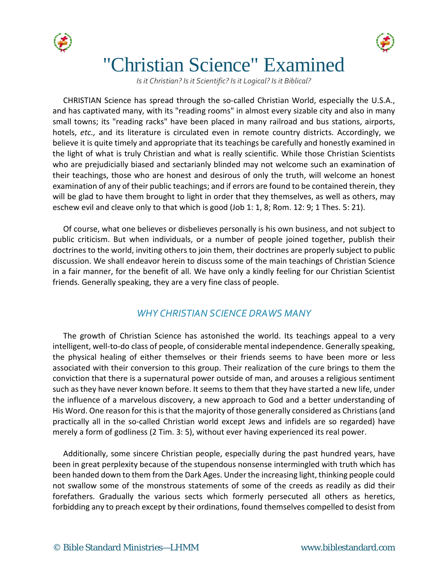



# "Christian Science" Examined

*Is it Christian? Is it Scientific? Is it Logical? Is it Biblical?*

CHRISTIAN Science has spread through the so-called Christian World, especially the U.S.A., and has captivated many, with its "reading rooms" in almost every sizable city and also in many small towns; its "reading racks" have been placed in many railroad and bus stations, airports, hotels, *etc.,* and its literature is circulated even in remote country districts. Accordingly, we believe it is quite timely and appropriate that its teachings be carefully and honestly examined in the light of what is truly Christian and what is really scientific. While those Christian Scientists who are prejudicially biased and sectarianly blinded may not welcome such an examination of their teachings, those who are honest and desirous of only the truth, will welcome an honest examination of any of their public teachings; and if errors are found to be contained therein, they will be glad to have them brought to light in order that they themselves, as well as others, may eschew evil and cleave only to that which is good (Job 1: 1, 8; Rom. 12: 9; 1 Thes. 5: 21).

Of course, what one believes or disbelieves personally is his own business, and not subject to public criticism. But when individuals, or a number of people joined together, publish their doctrines to the world, inviting others to join them, their doctrines are properly subject to public discussion. We shall endeavor herein to discuss some of the main teachings of Christian Science in a fair manner, for the benefit of all. We have only a kindly feeling for our Christian Scientist friends. Generally speaking, they are a very fine class of people.

#### *WHY CHRISTIAN SCIENCE DRAWS MANY*

The growth of Christian Science has astonished the world. Its teachings appeal to a very intelligent, well-to-do class of people, of considerable mental independence. Generally speaking, the physical healing of either themselves or their friends seems to have been more or less associated with their conversion to this group. Their realization of the cure brings to them the conviction that there is a supernatural power outside of man, and arouses a religious sentiment such as they have never known before. It seems to them that they have started a new life, under the influence of a marvelous discovery, a new approach to God and a better understanding of His Word. One reason for this is that the majority of those generally considered as Christians (and practically all in the so-called Christian world except Jews and infidels are so regarded) have merely a form of godliness (2 Tim. 3: 5), without ever having experienced its real power.

Additionally, some sincere Christian people, especially during the past hundred years, have been in great perplexity because of the stupendous nonsense intermingled with truth which has been handed down to them from the Dark Ages. Under the increasing light, thinking people could not swallow some of the monstrous statements of some of the creeds as readily as did their forefathers. Gradually the various sects which formerly persecuted all others as heretics, forbidding any to preach except by their ordinations, found themselves compelled to desist from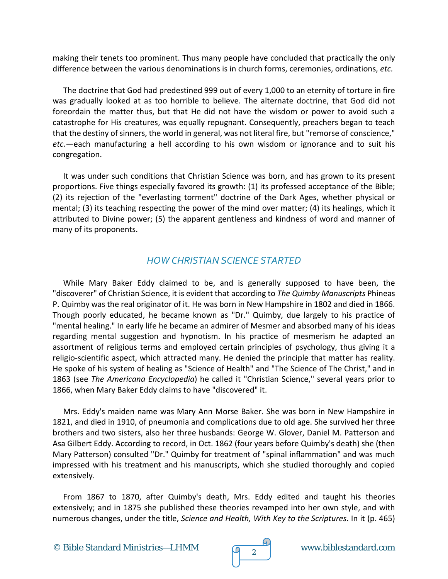making their tenets too prominent. Thus many people have concluded that practically the only difference between the various denominations is in church forms, ceremonies, ordinations, *etc.*

The doctrine that God had predestined 999 out of every 1,000 to an eternity of torture in fire was gradually looked at as too horrible to believe. The alternate doctrine, that God did not foreordain the matter thus, but that He did not have the wisdom or power to avoid such a catastrophe for His creatures, was equally repugnant. Consequently, preachers began to teach that the destiny of sinners, the world in general, was not literal fire, but "remorse of conscience," *etc.*—each manufacturing a hell according to his own wisdom or ignorance and to suit his congregation.

It was under such conditions that Christian Science was born, and has grown to its present proportions. Five things especially favored its growth: (1) its professed acceptance of the Bible; (2) its rejection of the "everlasting torment" doctrine of the Dark Ages, whether physical or mental; (3) its teaching respecting the power of the mind over matter; (4) its healings, which it attributed to Divine power; (5) the apparent gentleness and kindness of word and manner of many of its proponents.

### *HOW CHRISTIAN SCIENCE STARTED*

While Mary Baker Eddy claimed to be, and is generally supposed to have been, the "discoverer" of Christian Science, it is evident that according to *The Quimby Manuscripts* Phineas P. Quimby was the real originator of it. He was born in New Hampshire in 1802 and died in 1866. Though poorly educated, he became known as "Dr." Quimby, due largely to his practice of "mental healing." In early life he became an admirer of Mesmer and absorbed many of his ideas regarding mental suggestion and hypnotism. In his practice of mesmerism he adapted an assortment of religious terms and employed certain principles of psychology, thus giving it a religio-scientific aspect, which attracted many. He denied the principle that matter has reality. He spoke of his system of healing as "Science of Health" and "The Science of The Christ," and in 1863 (see *The Americana Encyclopedia*) he called it "Christian Science," several years prior to 1866, when Mary Baker Eddy claims to have "discovered" it.

Mrs. Eddy's maiden name was Mary Ann Morse Baker. She was born in New Hampshire in 1821, and died in 1910, of pneumonia and complications due to old age. She survived her three brothers and two sisters, also her three husbands: George W. Glover, Daniel M. Patterson and Asa Gilbert Eddy. According to record, in Oct. 1862 (four years before Quimby's death) she (then Mary Patterson) consulted "Dr." Quimby for treatment of "spinal inflammation" and was much impressed with his treatment and his manuscripts, which she studied thoroughly and copied extensively.

From 1867 to 1870, after Quimby's death, Mrs. Eddy edited and taught his theories extensively; and in 1875 she published these theories revamped into her own style, and with numerous changes, under the title, *Science and Health, With Key to the Scriptures*. In it (p. 465)

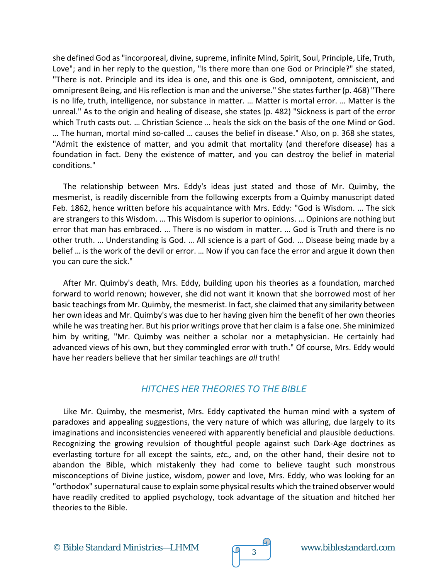she defined God as "incorporeal, divine, supreme, infinite Mind, Spirit, Soul, Principle, Life, Truth, Love"; and in her reply to the question, "Is there more than one God or Principle?" she stated, "There is not. Principle and its idea is one, and this one is God, omnipotent, omniscient, and omnipresent Being, and His reflection is man and the universe." She states further (p. 468) "There is no life, truth, intelligence, nor substance in matter. … Matter is mortal error. … Matter is the unreal." As to the origin and healing of disease, she states (p. 482) "Sickness is part of the error which Truth casts out. … Christian Science … heals the sick on the basis of the one Mind or God. … The human, mortal mind so-called … causes the belief in disease." Also, on p. 368 she states, "Admit the existence of matter, and you admit that mortality (and therefore disease) has a foundation in fact. Deny the existence of matter, and you can destroy the belief in material conditions."

The relationship between Mrs. Eddy's ideas just stated and those of Mr. Quimby, the mesmerist, is readily discernible from the following excerpts from a Quimby manuscript dated Feb. 1862, hence written before his acquaintance with Mrs. Eddy: "God is Wisdom. … The sick are strangers to this Wisdom. … This Wisdom is superior to opinions. … Opinions are nothing but error that man has embraced. … There is no wisdom in matter. … God is Truth and there is no other truth. … Understanding is God. … All science is a part of God. … Disease being made by a belief … is the work of the devil or error. … Now if you can face the error and argue it down then you can cure the sick."

After Mr. Quimby's death, Mrs. Eddy, building upon his theories as a foundation, marched forward to world renown; however, she did not want it known that she borrowed most of her basic teachings from Mr. Quimby, the mesmerist. In fact, she claimed that any similarity between her own ideas and Mr. Quimby's was due to her having given him the benefit of her own theories while he was treating her. But his prior writings prove that her claim is a false one. She minimized him by writing, "Mr. Quimby was neither a scholar nor a metaphysician. He certainly had advanced views of his own, but they commingled error with truth." Of course, Mrs. Eddy would have her readers believe that her similar teachings are *all* truth!

### *HITCHES HER THEORIES TO THE BIBLE*

Like Mr. Quimby, the mesmerist, Mrs. Eddy captivated the human mind with a system of paradoxes and appealing suggestions, the very nature of which was alluring, due largely to its imaginations and inconsistencies veneered with apparently beneficial and plausible deductions. Recognizing the growing revulsion of thoughtful people against such Dark-Age doctrines as everlasting torture for all except the saints, *etc.,* and, on the other hand, their desire not to abandon the Bible, which mistakenly they had come to believe taught such monstrous misconceptions of Divine justice, wisdom, power and love, Mrs. Eddy, who was looking for an "orthodox" supernatural cause to explain some physical results which the trained observer would have readily credited to applied psychology, took advantage of the situation and hitched her theories to the Bible.



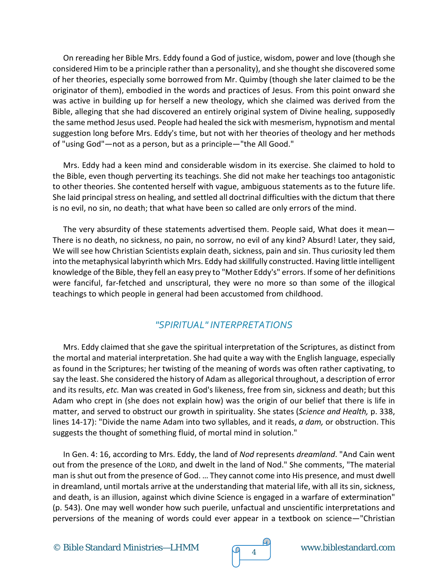On rereading her Bible Mrs. Eddy found a God of justice, wisdom, power and love (though she considered Him to be a principle rather than a personality), and she thought she discovered some of her theories, especially some borrowed from Mr. Quimby (though she later claimed to be the originator of them), embodied in the words and practices of Jesus. From this point onward she was active in building up for herself a new theology, which she claimed was derived from the Bible, alleging that she had discovered an entirely original system of Divine healing, supposedly the same method Jesus used. People had healed the sick with mesmerism, hypnotism and mental suggestion long before Mrs. Eddy's time, but not with her theories of theology and her methods of "using God"—not as a person, but as a principle—"the All Good."

Mrs. Eddy had a keen mind and considerable wisdom in its exercise. She claimed to hold to the Bible, even though perverting its teachings. She did not make her teachings too antagonistic to other theories. She contented herself with vague, ambiguous statements as to the future life. She laid principal stress on healing, and settled all doctrinal difficulties with the dictum that there is no evil, no sin, no death; that what have been so called are only errors of the mind.

The very absurdity of these statements advertised them. People said, What does it mean— There is no death, no sickness, no pain, no sorrow, no evil of any kind? Absurd! Later, they said, We will see how Christian Scientists explain death, sickness, pain and sin. Thus curiosity led them into the metaphysical labyrinth which Mrs. Eddy had skillfully constructed. Having little intelligent knowledge of the Bible, they fell an easy prey to "Mother Eddy's" errors. If some of her definitions were fanciful, far-fetched and unscriptural, they were no more so than some of the illogical teachings to which people in general had been accustomed from childhood.

### *"SPIRITUAL" INTERPRETATIONS*

Mrs. Eddy claimed that she gave the spiritual interpretation of the Scriptures, as distinct from the mortal and material interpretation. She had quite a way with the English language, especially as found in the Scriptures; her twisting of the meaning of words was often rather captivating, to say the least. She considered the history of Adam as allegorical throughout, a description of error and its results, *etc.* Man was created in God's likeness, free from sin, sickness and death; but this Adam who crept in (she does not explain how) was the origin of our belief that there is life in matter, and served to obstruct our growth in spirituality. She states (*Science and Health,* p. 338, lines 14-17): "Divide the name Adam into two syllables, and it reads, *a dam,* or obstruction. This suggests the thought of something fluid, of mortal mind in solution."

In Gen. 4: 16, according to Mrs. Eddy, the land of *Nod* represents *dreamland*. "And Cain went out from the presence of the LORD, and dwelt in the land of Nod." She comments, "The material man is shut out from the presence of God. … They cannot come into His presence, and must dwell in dreamland, until mortals arrive at the understanding that material life, with all its sin, sickness, and death, is an illusion, against which divine Science is engaged in a warfare of extermination" (p. 543). One may well wonder how such puerile, unfactual and unscientific interpretations and perversions of the meaning of words could ever appear in a textbook on science—"Christian

© Bible Standard Ministries—LHMM  $\sqrt{q}$  4 www.biblestandard.com

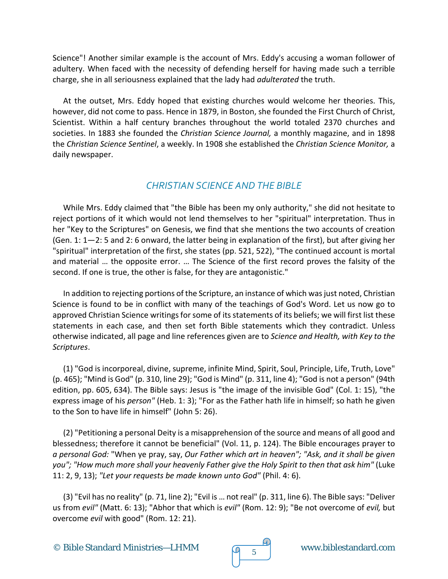Science"! Another similar example is the account of Mrs. Eddy's accusing a woman follower of adultery. When faced with the necessity of defending herself for having made such a terrible charge, she in all seriousness explained that the lady had *adulterated* the truth.

At the outset, Mrs. Eddy hoped that existing churches would welcome her theories. This, however, did not come to pass. Hence in 1879, in Boston, she founded the First Church of Christ, Scientist. Within a half century branches throughout the world totaled 2370 churches and societies. In 1883 she founded the *Christian Science Journal,* a monthly magazine, and in 1898 the *Christian Science Sentinel*, a weekly. In 1908 she established the *Christian Science Monitor,* a daily newspaper.

### *CHRISTIAN SCIENCE AND THE BIBLE*

While Mrs. Eddy claimed that "the Bible has been my only authority," she did not hesitate to reject portions of it which would not lend themselves to her "spiritual" interpretation. Thus in her "Key to the Scriptures" on Genesis, we find that she mentions the two accounts of creation (Gen. 1: 1—2: 5 and 2: 6 onward, the latter being in explanation of the first), but after giving her "spiritual" interpretation of the first, she states (pp. 521, 522), "The continued account is mortal and material … the opposite error. … The Science of the first record proves the falsity of the second. If one is true, the other is false, for they are antagonistic."

In addition to rejecting portions of the Scripture, an instance of which was just noted, Christian Science is found to be in conflict with many of the teachings of God's Word. Let us now go to approved Christian Science writings for some of its statements of its beliefs; we will first list these statements in each case, and then set forth Bible statements which they contradict. Unless otherwise indicated, all page and line references given are to *Science and Health, with Key to the Scriptures*.

(1) "God is incorporeal, divine, supreme, infinite Mind, Spirit, Soul, Principle, Life, Truth, Love" (p. 465); "Mind is God" (p. 310, line 29); "God is Mind" (p. 311, line 4); "God is not a person" (94th edition, pp. 605, 634). The Bible says: Jesus is "the image of the invisible God" (Col. 1: 15), "the express image of his *person"* (Heb. 1: 3); "For as the Father hath life in himself; so hath he given to the Son to have life in himself" (John 5: 26).

(2) "Petitioning a personal Deity is a misapprehension of the source and means of all good and blessedness; therefore it cannot be beneficial" (Vol. 11, p. 124). The Bible encourages prayer to *a personal God:* "When ye pray, say, *Our Father which art in heaven"; "Ask, and it shall be given you"; "How much more shall your heavenly Father give the Holy Spirit to then that ask him"* (Luke 11: 2, 9, 13); *"Let your requests be made known unto God"* (Phil. 4: 6).

(3) "Evil has no reality" (p. 71, line 2); "Evil is … not real" (p. 311, line 6). The Bible says: "Deliver us from *evil"* (Matt. 6: 13); "Abhor that which is *evil"* (Rom. 12: 9); "Be not overcome of *evil,* but overcome *evil* with good" (Rom. 12: 21).

© Bible Standard Ministries—LHMM  $\sqrt{9}$  5



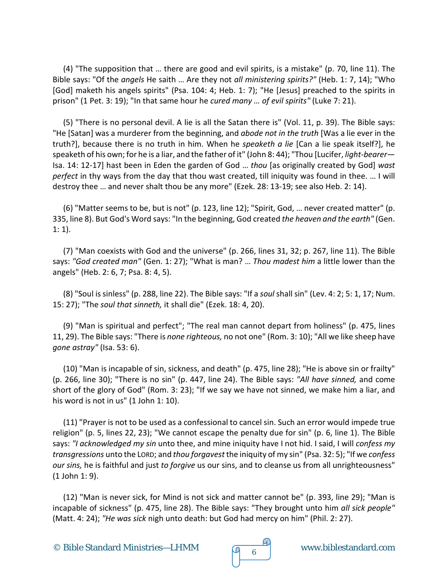(4) "The supposition that … there are good and evil spirits, is a mistake" (p. 70, line 11). The Bible says: "Of the *angels* He saith … Are they not *all ministering spirits?"* (Heb. 1: 7, 14); "Who [God] maketh his angels spirits" (Psa. 104: 4; Heb. 1: 7); "He [Jesus] preached to the spirits in prison" (1 Pet. 3: 19); "In that same hour he *cured many … of evil spirits"* (Luke 7: 21).

(5) "There is no personal devil. A lie is all the Satan there is" (Vol. 11, p. 39). The Bible says: "He [Satan] was a murderer from the beginning, and *abode not in the truth* [Was a lie ever in the truth?], because there is no truth in him. When he *speaketh a lie* [Can a lie speak itself?], he speaketh of his own; for he is a liar, and the father of it" (John 8: 44); "Thou [Lucifer, *light-bearer*— Isa. 14: 12-17] hast been in Eden the garden of God … *thou* [as originally created by God] *wast perfect* in thy ways from the day that thou wast created, till iniquity was found in thee. … I will destroy thee … and never shalt thou be any more" (Ezek. 28: 13-19; see also Heb. 2: 14).

(6) "Matter seems to be, but is not" (p. 123, line 12); "Spirit, God, … never created matter" (p. 335, line 8). But God's Word says: "In the beginning, God created *the heaven and the earth"* (Gen. 1: 1).

(7) "Man coexists with God and the universe" (p. 266, lines 31, 32; p. 267, line 11). The Bible says: *"God created man"* (Gen. 1: 27); "What is man? … *Thou madest him* a little lower than the angels" (Heb. 2: 6, 7; Psa. 8: 4, 5).

(8) "Soul is sinless" (p. 288, line 22). The Bible says: "If a *soul* shall sin" (Lev. 4: 2; 5: 1, 17; Num. 15: 27); "The *soul that sinneth,* it shall die" (Ezek. 18: 4, 20).

(9) "Man is spiritual and perfect"; "The real man cannot depart from holiness" (p. 475, lines 11, 29). The Bible says: "There is *none righteous,* no not one" (Rom. 3: 10); "All we like sheep have *gone astray"* (Isa. 53: 6).

(10) "Man is incapable of sin, sickness, and death" (p. 475, line 28); "He is above sin or frailty" (p. 266, line 30); "There is no sin" (p. 447, line 24). The Bible says: *"All have sinned,* and come short of the glory of God" (Rom. 3: 23); "If we say we have not sinned, we make him a liar, and his word is not in us" (1 John 1: 10).

(11) "Prayer is not to be used as a confessional to cancel sin. Such an error would impede true religion" (p. 5, lines 22, 23); "We cannot escape the penalty due for sin" (p. 6, line 1). The Bible says: *"I acknowledged my sin* unto thee, and mine iniquity have I not hid. I said, I will *confess my transgressions* unto the LORD; and *thou forgavest* the iniquity of my sin" (Psa. 32: 5); "If we *confess our sins,* he is faithful and just *to forgive* us our sins, and to cleanse us from all unrighteousness" (1 John 1: 9).

(12) "Man is never sick, for Mind is not sick and matter cannot be" (p. 393, line 29); "Man is incapable of sickness" (p. 475, line 28). The Bible says: "They brought unto him *all sick people"* (Matt. 4: 24); *"He was sick* nigh unto death: but God had mercy on him" (Phil. 2: 27).

© Bible Standard Ministries—LHMM www.biblestandard.com <sup>6</sup>



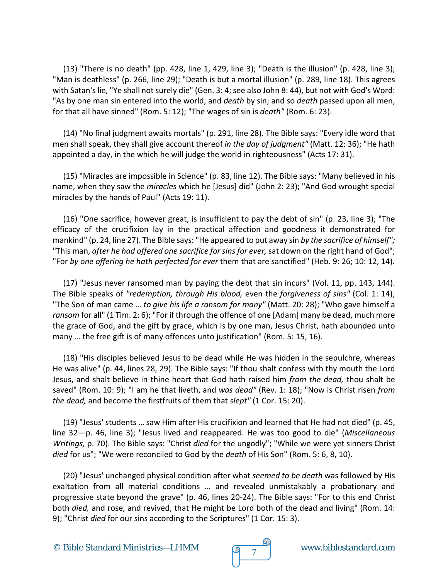(13) "There is no death" (pp. 428, line 1, 429, line 3); "Death is the illusion" (p. 428, line 3); "Man is deathless" (p. 266, line 29); "Death is but a mortal illusion" (p. 289, line 18). This agrees with Satan's lie, "Ye shall not surely die" (Gen. 3: 4; see also John 8: 44), but not with God's Word: "As by one man sin entered into the world, and *death* by sin; and so *death* passed upon all men, for that all have sinned" (Rom. 5: 12); "The wages of sin is *death"* (Rom. 6: 23).

(14) "No final judgment awaits mortals" (p. 291, line 28). The Bible says: "Every idle word that men shall speak, they shall give account thereof *in the day of judgment"* (Matt. 12: 36); "He hath appointed a day, in the which he will judge the world in righteousness" (Acts 17: 31).

(15) "Miracles are impossible in Science" (p. 83, line 12). The Bible says: "Many believed in his name, when they saw the *miracles* which he [Jesus] did" (John 2: 23); "And God wrought special miracles by the hands of Paul" (Acts 19: 11).

(16) "One sacrifice, however great, is insufficient to pay the debt of sin" (p. 23, line 3); "The efficacy of the crucifixion lay in the practical affection and goodness it demonstrated for mankind" (p. 24, line 27). The Bible says: "He appeared to put away sin *by the sacrifice of himself";* "This man, *after he had offered one sacrifice for sins for ever,* sat down on the right hand of God"; "For *by one offering he hath perfected for ever* them that are sanctified" (Heb. 9: 26; 10: 12, 14).

(17) "Jesus never ransomed man by paying the debt that sin incurs" (Vol. 11, pp. 143, 144). The Bible speaks of *"redemption, through His blood,* even the *forgiveness of sins"* (Col. 1: 14); "The Son of man came … *to give his life a ransom for many"* (Matt. 20: 28); "Who gave himself a *ransom* for all" (1 Tim. 2: 6); "For if through the offence of one [Adam] many be dead, much more the grace of God, and the gift by grace, which is by one man, Jesus Christ, hath abounded unto many … the free gift is of many offences unto justification" (Rom. 5: 15, 16).

(18) "His disciples believed Jesus to be dead while He was hidden in the sepulchre, whereas He was alive" (p. 44, lines 28, 29). The Bible says: "If thou shalt confess with thy mouth the Lord Jesus, and shalt believe in thine heart that God hath raised him *from the dead,* thou shalt be saved" (Rom. 10: 9); "I am he that liveth, and *was dead"* (Rev. 1: 18); "Now is Christ risen *from the dead,* and become the firstfruits of them that *slept"* (1 Cor. 15: 20).

(19) "Jesus' students … saw Him after His crucifixion and learned that He had not died" (p. 45, line 32—p. 46, line 3); "Jesus lived and reappeared. He was too good to die" (*Miscellaneous Writings,* p. 70). The Bible says: "Christ *died* for the ungodly"; "While we were yet sinners Christ *died* for us"; "We were reconciled to God by the *death* of His Son" (Rom. 5: 6, 8, 10).

(20) "Jesus' unchanged physical condition after what *seemed to be death* was followed by His exaltation from all material conditions … and revealed unmistakably a probationary and progressive state beyond the grave" (p. 46, lines 20-24). The Bible says: "For to this end Christ both *died,* and rose, and revived, that He might be Lord both of the dead and living" (Rom. 14: 9); "Christ *died* for our sins according to the Scriptures" (1 Cor. 15: 3).

© Bible Standard Ministries—LHMM www.biblestandard.com <sup>7</sup>

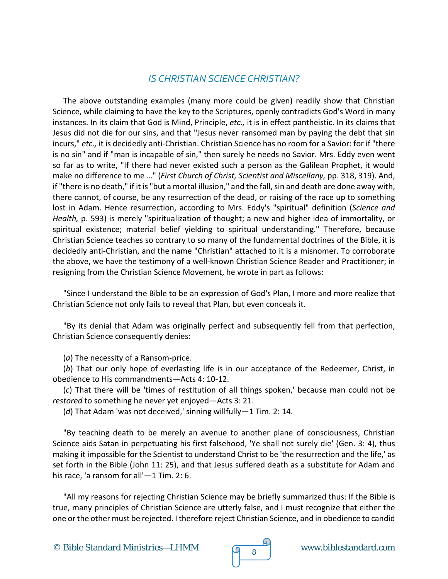#### *IS CHRISTIAN SCIENCE CHRISTIAN?*

The above outstanding examples (many more could be given) readily show that Christian Science, while claiming to have the key to the Scriptures, openly contradicts God's Word in many instances. In its claim that God is Mind, Principle, *etc.,* it is in effect pantheistic. In its claims that Jesus did not die for our sins, and that "Jesus never ransomed man by paying the debt that sin incurs," *etc.,* it is decidedly anti-Christian. Christian Science has no room for a Savior: for if "there is no sin" and if "man is incapable of sin," then surely he needs no Savior. Mrs. Eddy even went so far as to write, "If there had never existed such a person as the Galilean Prophet, it would make no difference to me …" (*First Church of Christ, Scientist and Miscellany,* pp. 318, 319). And, if "there is no death," if it is "but a mortal illusion," and the fall, sin and death are done away with, there cannot, of course, be any resurrection of the dead, or raising of the race up to something lost in Adam. Hence resurrection, according to Mrs. Eddy's "spiritual" definition (*Science and Health,* p. 593) is merely "spiritualization of thought; a new and higher idea of immortality, or spiritual existence; material belief yielding to spiritual understanding." Therefore, because Christian Science teaches so contrary to so many of the fundamental doctrines of the Bible, it is decidedly anti-Christian, and the name "Christian" attached to it is a misnomer. To corroborate the above, we have the testimony of a well-known Christian Science Reader and Practitioner; in resigning from the Christian Science Movement, he wrote in part as follows:

"Since I understand the Bible to be an expression of God's Plan, I more and more realize that Christian Science not only fails to reveal that Plan, but even conceals it.

"By its denial that Adam was originally perfect and subsequently fell from that perfection, Christian Science consequently denies:

(*a*) The necessity of a Ransom-price.

(*b*) That our only hope of everlasting life is in our acceptance of the Redeemer, Christ, in obedience to His commandments—Acts 4: 10-12.

(*c*) That there will be 'times of restitution of all things spoken,' because man could not be *restored* to something he never yet enjoyed—Acts 3: 21.

(*d*) That Adam 'was not deceived,' sinning willfully—1 Tim. 2: 14.

"By teaching death to be merely an avenue to another plane of consciousness, Christian Science aids Satan in perpetuating his first falsehood, 'Ye shall not surely die' (Gen. 3: 4), thus making it impossible for the Scientist to understand Christ to be 'the resurrection and the life,' as set forth in the Bible (John 11: 25), and that Jesus suffered death as a substitute for Adam and his race, 'a ransom for all'—1 Tim. 2: 6.

"All my reasons for rejecting Christian Science may be briefly summarized thus: If the Bible is true, many principles of Christian Science are utterly false, and I must recognize that either the one or the other must be rejected. I therefore reject Christian Science, and in obedience to candid

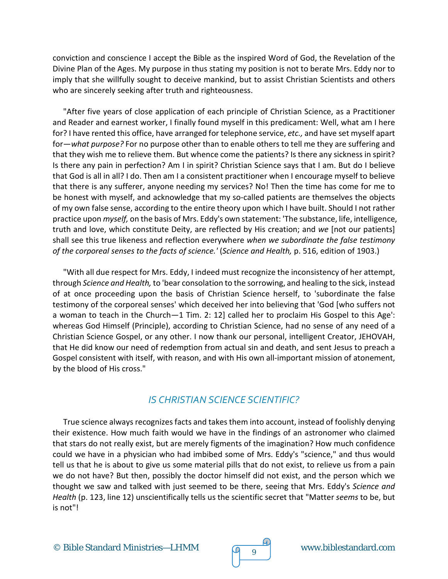conviction and conscience I accept the Bible as the inspired Word of God, the Revelation of the Divine Plan of the Ages. My purpose in thus stating my position is not to berate Mrs. Eddy nor to imply that she willfully sought to deceive mankind, but to assist Christian Scientists and others who are sincerely seeking after truth and righteousness.

"After five years of close application of each principle of Christian Science, as a Practitioner and Reader and earnest worker, I finally found myself in this predicament: Well, what am I here for? I have rented this office, have arranged for telephone service, *etc.,* and have set myself apart for—*what purpose?* For no purpose other than to enable others to tell me they are suffering and that they wish me to relieve them. But whence come the patients? Is there any sickness in spirit? Is there any pain in perfection? Am I in spirit? Christian Science says that I am. But do I believe that God is all in all? I do. Then am I a consistent practitioner when I encourage myself to believe that there is any sufferer, anyone needing my services? No! Then the time has come for me to be honest with myself, and acknowledge that my so-called patients are themselves the objects of my own false sense, according to the entire theory upon which I have built. Should I not rather practice upon *myself,* on the basis of Mrs. Eddy's own statement: 'The substance, life, intelligence, truth and love, which constitute Deity, are reflected by His creation; and *we* [not our patients] shall see this true likeness and reflection everywhere *when we subordinate the false testimony of the corporeal senses to the facts of science.'* (*Science and Health,* p. 516, edition of 1903.)

"With all due respect for Mrs. Eddy, I indeed must recognize the inconsistency of her attempt, through *Science and Health,* to 'bear consolation to the sorrowing, and healing to the sick, instead of at once proceeding upon the basis of Christian Science herself, to 'subordinate the false testimony of the corporeal senses' which deceived her into believing that 'God [who suffers not a woman to teach in the Church*—*1 Tim. 2: 12] called her to proclaim His Gospel to this Age': whereas God Himself (Principle), according to Christian Science, had no sense of any need of a Christian Science Gospel, or any other. I now thank our personal, intelligent Creator, JEHOVAH, that He did know our need of redemption from actual sin and death, and sent Jesus to preach a Gospel consistent with itself, with reason, and with His own all-important mission of atonement, by the blood of His cross."

#### *IS CHRISTIAN SCIENCE SCIENTIFIC?*

True science always recognizes facts and takes them into account, instead of foolishly denying their existence. How much faith would we have in the findings of an astronomer who claimed that stars do not really exist, but are merely figments of the imagination? How much confidence could we have in a physician who had imbibed some of Mrs. Eddy's "science," and thus would tell us that he is about to give us some material pills that do not exist, to relieve us from a pain we do not have? But then, possibly the doctor himself did not exist, and the person which we thought we saw and talked with just seemed to be there, seeing that Mrs. Eddy's *Science and Health* (p. 123, line 12) unscientifically tells us the scientific secret that "Matter *seems* to be, but is not"!

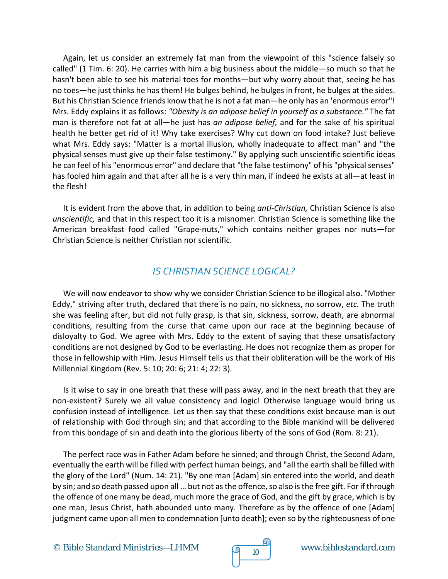Again, let us consider an extremely fat man from the viewpoint of this "science falsely so called" (1 Tim. 6: 20). He carries with him a big business about the middle—so much so that he hasn't been able to see his material toes for months—but why worry about that, seeing he has no toes—he just thinks he has them! He bulges behind, he bulges in front, he bulges at the sides. But his Christian Science friends know that he is not a fat man—he only has an 'enormous error"! Mrs. Eddy explains it as follows: *"Obesity is an adipose belief in yourself as a substance."* The fat man is therefore not fat at all—he just has *an adipose belief,* and for the sake of his spiritual health he better get rid of it! Why take exercises? Why cut down on food intake? Just believe what Mrs. Eddy says: "Matter is a mortal illusion, wholly inadequate to affect man" and "the physical senses must give up their false testimony." By applying such unscientific scientific ideas he can feel of his "enormous error" and declare that "the false testimony" of his "physical senses" has fooled him again and that after all he is a very thin man, if indeed he exists at all—at least in the flesh!

It is evident from the above that, in addition to being *anti-Christian,* Christian Science is also *unscientific,* and that in this respect too it is a misnomer. Christian Science is something like the American breakfast food called "Grape-nuts," which contains neither grapes nor nuts—for Christian Science is neither Christian nor scientific.

## *IS CHRISTIAN SCIENCE LOGICAL?*

We will now endeavor to show why we consider Christian Science to be illogical also. "Mother Eddy," striving after truth, declared that there is no pain, no sickness, no sorrow, *etc.* The truth she was feeling after, but did not fully grasp, is that sin, sickness, sorrow, death, are abnormal conditions, resulting from the curse that came upon our race at the beginning because of disloyalty to God. We agree with Mrs. Eddy to the extent of saying that these unsatisfactory conditions are not designed by God to be everlasting. He does not recognize them as proper for those in fellowship with Him. Jesus Himself tells us that their obliteration will be the work of His Millennial Kingdom (Rev. 5: 10; 20: 6; 21: 4; 22: 3).

Is it wise to say in one breath that these will pass away, and in the next breath that they are non-existent? Surely we all value consistency and logic! Otherwise language would bring us confusion instead of intelligence. Let us then say that these conditions exist because man is out of relationship with God through sin; and that according to the Bible mankind will be delivered from this bondage of sin and death into the glorious liberty of the sons of God (Rom. 8: 21).

The perfect race was in Father Adam before he sinned; and through Christ, the Second Adam, eventually the earth will be filled with perfect human beings, and "all the earth shall be filled with the glory of the Lord" (Num. 14: 21). "By one man [Adam] sin entered into the world, and death by sin; and so death passed upon all … but not as the offence, so also is the free gift. For if through the offence of one many be dead, much more the grace of God, and the gift by grace, which is by one man, Jesus Christ, hath abounded unto many. Therefore as by the offence of one [Adam] judgment came upon all men to condemnation [unto death]; even so by the righteousness of one

© Bible Standard Ministries—LHMM  $\sqrt{9}$  10 www.biblestandard.com

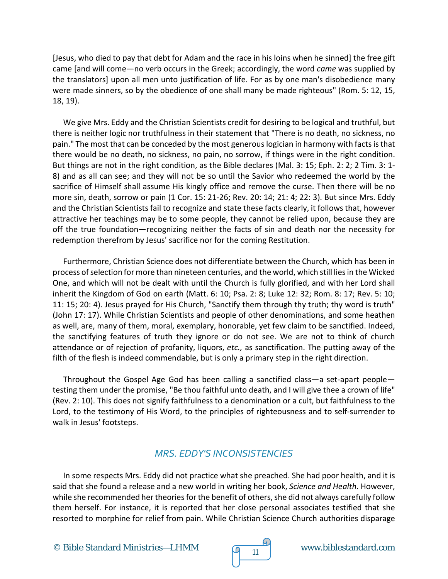[Jesus, who died to pay that debt for Adam and the race in his loins when he sinned] the free gift came [and will come—no verb occurs in the Greek; accordingly, the word *came* was supplied by the translators] upon all men unto justification of life. For as by one man's disobedience many were made sinners, so by the obedience of one shall many be made righteous" (Rom. 5: 12, 15, 18, 19).

We give Mrs. Eddy and the Christian Scientists credit for desiring to be logical and truthful, but there is neither logic nor truthfulness in their statement that "There is no death, no sickness, no pain." The most that can be conceded by the most generous logician in harmony with facts is that there would be no death, no sickness, no pain, no sorrow, if things were in the right condition. But things are not in the right condition, as the Bible declares (Mal. 3: 15; Eph. 2: 2; 2 Tim. 3: 1- 8) and as all can see; and they will not be so until the Savior who redeemed the world by the sacrifice of Himself shall assume His kingly office and remove the curse. Then there will be no more sin, death, sorrow or pain (1 Cor. 15: 21-26; Rev. 20: 14; 21: 4; 22: 3). But since Mrs. Eddy and the Christian Scientists fail to recognize and state these facts clearly, it follows that, however attractive her teachings may be to some people, they cannot be relied upon, because they are off the true foundation—recognizing neither the facts of sin and death nor the necessity for redemption therefrom by Jesus' sacrifice nor for the coming Restitution.

Furthermore, Christian Science does not differentiate between the Church, which has been in process of selection for more than nineteen centuries, and the world, which still lies in the Wicked One, and which will not be dealt with until the Church is fully glorified, and with her Lord shall inherit the Kingdom of God on earth (Matt. 6: 10; Psa. 2: 8; Luke 12: 32; Rom. 8: 17; Rev. 5: 10; 11: 15; 20: 4). Jesus prayed for His Church, "Sanctify them through thy truth; thy word is truth" (John 17: 17). While Christian Scientists and people of other denominations, and some heathen as well, are, many of them, moral, exemplary, honorable, yet few claim to be sanctified. Indeed, the sanctifying features of truth they ignore or do not see. We are not to think of church attendance or of rejection of profanity, liquors, *etc.,* as sanctification. The putting away of the filth of the flesh is indeed commendable, but is only a primary step in the right direction.

Throughout the Gospel Age God has been calling a sanctified class—a set-apart people testing them under the promise, "Be thou faithful unto death, and I will give thee a crown of life" (Rev. 2: 10). This does not signify faithfulness to a denomination or a cult, but faithfulness to the Lord, to the testimony of His Word, to the principles of righteousness and to self-surrender to walk in Jesus' footsteps.

### *MRS. EDDY'S INCONSISTENCIES*

In some respects Mrs. Eddy did not practice what she preached. She had poor health, and it is said that she found a release and a new world in writing her book, *Science and Health*. However, while she recommended her theories for the benefit of others, she did not always carefully follow them herself. For instance, it is reported that her close personal associates testified that she resorted to morphine for relief from pain. While Christian Science Church authorities disparage

© Bible Standard Ministries—LHMM  $\sqrt{9}$  11 www.biblestandard.com

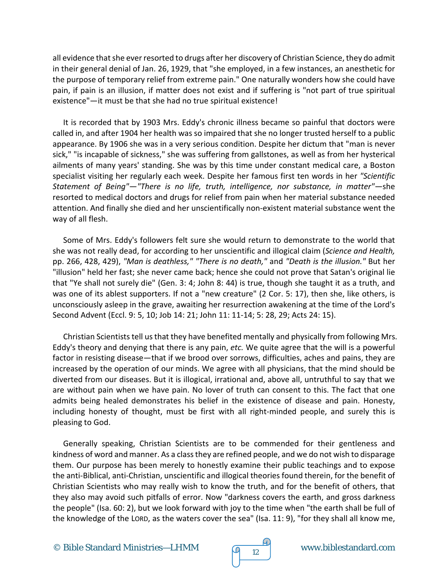all evidence that she ever resorted to drugs after her discovery of Christian Science, they do admit in their general denial of Jan. 26, 1929, that "she employed, in a few instances, an anesthetic for the purpose of temporary relief from extreme pain." One naturally wonders how she could have pain, if pain is an illusion, if matter does not exist and if suffering is "not part of true spiritual existence"—it must be that she had no true spiritual existence!

It is recorded that by 1903 Mrs. Eddy's chronic illness became so painful that doctors were called in, and after 1904 her health was so impaired that she no longer trusted herself to a public appearance. By 1906 she was in a very serious condition. Despite her dictum that "man is never sick," "is incapable of sickness," she was suffering from gallstones, as well as from her hysterical ailments of many years' standing. She was by this time under constant medical care, a Boston specialist visiting her regularly each week. Despite her famous first ten words in her *"Scientific Statement of Being"—"There is no life, truth, intelligence, nor substance, in matter"—*she resorted to medical doctors and drugs for relief from pain when her material substance needed attention. And finally she died and her unscientifically non-existent material substance went the way of all flesh.

Some of Mrs. Eddy's followers felt sure she would return to demonstrate to the world that she was not really dead, for according to her unscientific and illogical claim (*Science and Health,* pp. 266, 428, 429), *"Man is deathless," "There is no death,"* and *"Death is the illusion."* But her "illusion" held her fast; she never came back; hence she could not prove that Satan's original lie that "Ye shall not surely die" (Gen. 3: 4; John 8: 44) is true, though she taught it as a truth, and was one of its ablest supporters. If not a "new creature" (2 Cor. 5: 17), then she, like others, is unconsciously asleep in the grave, awaiting her resurrection awakening at the time of the Lord's Second Advent (Eccl. 9: 5, 10; Job 14: 21; John 11: 11-14; 5: 28, 29; Acts 24: 15).

Christian Scientists tell us that they have benefited mentally and physically from following Mrs. Eddy's theory and denying that there is any pain, *etc.* We quite agree that the will is a powerful factor in resisting disease—that if we brood over sorrows, difficulties, aches and pains, they are increased by the operation of our minds. We agree with all physicians, that the mind should be diverted from our diseases. But it is illogical, irrational and, above all, untruthful to say that we are without pain when we have pain. No lover of truth can consent to this. The fact that one admits being healed demonstrates his belief in the existence of disease and pain. Honesty, including honesty of thought, must be first with all right-minded people, and surely this is pleasing to God.

Generally speaking, Christian Scientists are to be commended for their gentleness and kindness of word and manner. As a class they are refined people, and we do not wish to disparage them. Our purpose has been merely to honestly examine their public teachings and to expose the anti-Biblical, anti-Christian, unscientific and illogical theories found therein, for the benefit of Christian Scientists who may really wish to know the truth, and for the benefit of others, that they also may avoid such pitfalls of error. Now "darkness covers the earth, and gross darkness the people" (Isa. 60: 2), but we look forward with joy to the time when "the earth shall be full of the knowledge of the LORD, as the waters cover the sea" (Isa. 11: 9), "for they shall all know me,